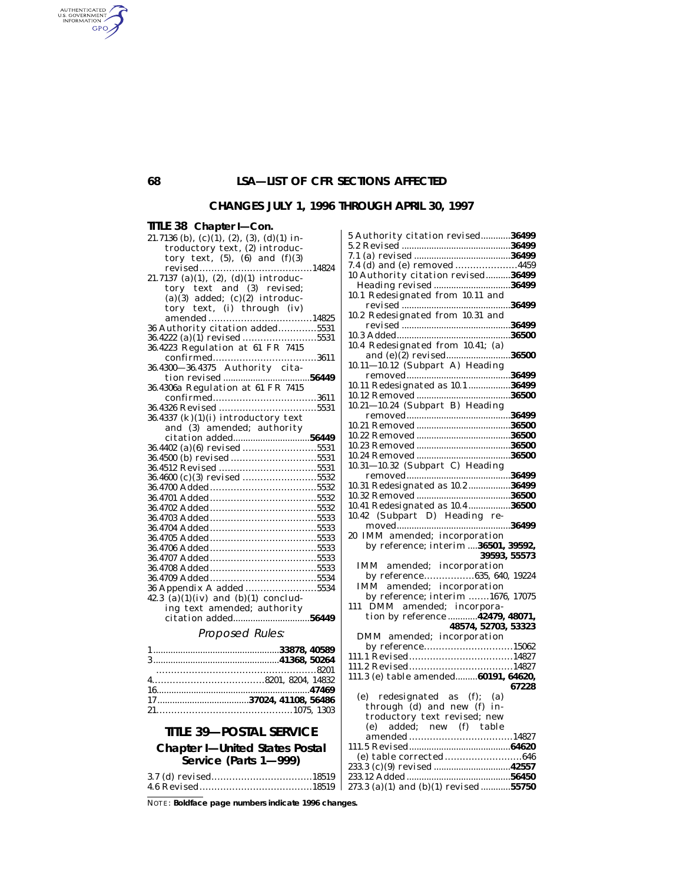## **68 LSA—LIST OF CFR SECTIONS AFFECTED**

#### **CHANGES JULY 1, 1996 THROUGH APRIL 30, 1997**

#### **TITLE 38 Chapter I—Con.** 21.7136 (b),  $(c)(1)$ ,  $(2)$ ,  $(3)$ ,  $(d)(1)$  introductory text, (2) introductory text,  $(5)$ ,  $(6)$  and  $(f)(3)$ revised......................................14824 21.7137 (a)(1), (2), (d)(1) introductory text and (3) revised;  $(a)(3)$  added;  $(c)(2)$  introductory text, (i) through (iv) amended ...................................14825 36 Authority citation added.............5531 36.4222 (a)(1) revised .........................5531 36.4223 Regulation at 61 FR 7415 confirmed...................................3611 36.4300—36.4375 Authority citation revised ...................................**56449** 36.4306a Regulation at 61 FR 7415 confirmed...................................3611 36.4326 Revised .................................5531  $36.4337$  (k)(1)(i) introductory text and (3) amended; authority citation added...............................**56449** 36.4402 (a)(6) revised .........................5531 36.4500 (b) revised .............................5531 36.4512 Revised .................................5531 36.4600 (c)(3) revised .........................5532 36.4700 Added....................................5532 36.4701 Added....................................5532 36.4702 Added....................................5532 36.4703 Added....................................5533 36.4704 Added....................................5533 36.4705 Added....................................5533 36.4706 Added....................................5533 36.4707 Added....................................5533 36.4708 Added....................................5533 36.4709 Added....................................5534 36 Appendix A added ........................5534  $(42.3 \text{ (a)}(1)(iv)$  and  $(b)(1)$  concluding text amended; authority citation added...............................**56449** Proposed Rules:

| $16$ 47469 |
|------------|
|            |
|            |

### **TITLE 39—POSTAL SERVICE**

#### **Chapter I—United States Postal Service (Parts 1—999)**

NOTE: **Boldface page numbers indicate 1996 changes.**

| 5 Authority citation revised36499                         |       |
|-----------------------------------------------------------|-------|
|                                                           |       |
|                                                           |       |
| 7.4 (d) and (e) removed 4459                              |       |
| 10 Authority citation revised36499                        |       |
|                                                           |       |
| 10.1 Redesignated from 10.11 and                          |       |
|                                                           |       |
| 10.2 Redesignated from 10.31 and                          |       |
| revised <u>Machinese</u> 36499                            |       |
|                                                           |       |
|                                                           |       |
| 10.4 Redesignated from 10.41; (a)                         |       |
| and (e)(2) revised36500                                   |       |
| 10.11-10.12 (Subpart A) Heading                           |       |
|                                                           |       |
| 10.11 Redesignated as 10.1 36499                          |       |
|                                                           |       |
| 10.21-10.24 (Subpart B) Heading                           |       |
|                                                           |       |
|                                                           |       |
|                                                           |       |
|                                                           |       |
|                                                           |       |
|                                                           |       |
| 10.31-10.32 (Subpart C) Heading                           |       |
|                                                           |       |
| 10.31 Redesignated as 10.2 36499                          |       |
|                                                           |       |
| 10.41 Redesignated as 10.4 36500                          |       |
|                                                           |       |
|                                                           |       |
|                                                           |       |
|                                                           |       |
| 20 IMM amended; incorporation                             |       |
| by reference; interim  36501, 39592,                      |       |
| 39593, 55573                                              |       |
| IMM amended; incorporation                                |       |
| by reference635, 640, 19224                               |       |
| IMM amended; incorporation                                |       |
| by reference; interim 1676, 17075                         |       |
| 111                                                       |       |
|                                                           |       |
|                                                           |       |
|                                                           |       |
| 48574, 52703, 53323<br>DMM amended; incorporation         |       |
| by reference15062                                         |       |
| 111.1 Revised14827                                        |       |
|                                                           |       |
| 111.3 (e) table amended 60191, 64620,                     |       |
|                                                           | 67228 |
| (e)                                                       |       |
| ) redesignated as (f); (a)<br>through (d) and new (f) in- |       |
|                                                           |       |
|                                                           |       |
|                                                           |       |
|                                                           |       |
|                                                           |       |
|                                                           |       |
|                                                           |       |
| 273.3 (a)(1) and (b)(1) revised 55750                     |       |

AUTHENTICATED GPO